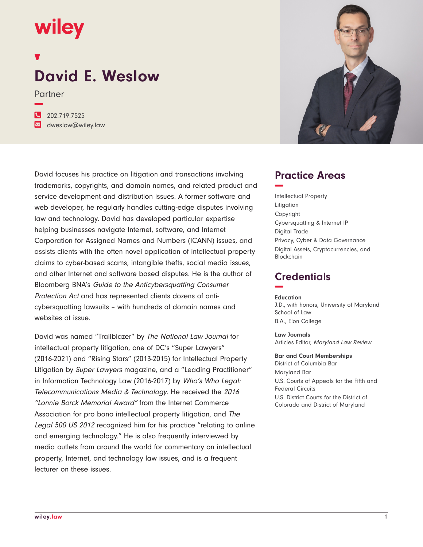## wiley

# **David E. Weslow**

Partner

**−**

**�** 202.719.7525 **�** dweslow@wiley.law

David focuses his practice on litigation and transactions involving trademarks, copyrights, and domain names, and related product and service development and distribution issues. A former software and web developer, he regularly handles cutting-edge disputes involving law and technology. David has developed particular expertise helping businesses navigate Internet, software, and Internet Corporation for Assigned Names and Numbers (ICANN) issues, and assists clients with the often novel application of intellectual property claims to cyber-based scams, intangible thefts, social media issues, and other Internet and software based disputes. He is the author of Bloomberg BNA's Guide to the Anticybersquatting Consumer Protection Act and has represented clients dozens of anticybersquatting lawsuits – with hundreds of domain names and websites at issue.

David was named "Trailblazer" by The National Law Journal for intellectual property litigation, one of DC's "Super Lawyers" (2016-2021) and "Rising Stars" (2013-2015) for Intellectual Property Litigation by Super Lawyers magazine, and a "Leading Practitioner" in Information Technology Law (2016-2017) by Who's Who Legal: Telecommunications Media & Technology. He received the <sup>2016</sup> "Lonnie Borck Memorial Award" from the Internet Commerce Association for pro bono intellectual property litigation, and The Legal 500 US 2012 recognized him for his practice "relating to online and emerging technology." He is also frequently interviewed by media outlets from around the world for commentary on intellectual property, Internet, and technology law issues, and is a frequent lecturer on these issues.



## **Practice Areas −**

Intellectual Property Litigation Copyright Cybersquatting & Internet IP Digital Trade Privacy, Cyber & Data Governance Digital Assets, Cryptocurrencies, and Blockchain

## **Credentials −**

#### **Education**

J.D., with honors, University of Maryland School of Law B.A., Elon College

**Law Journals** Articles Editor, Maryland Law Review

#### **Bar and Court Memberships**

District of Columbia Bar Maryland Bar U.S. Courts of Appeals for the Fifth and Federal Circuits U.S. District Courts for the District of Colorado and District of Maryland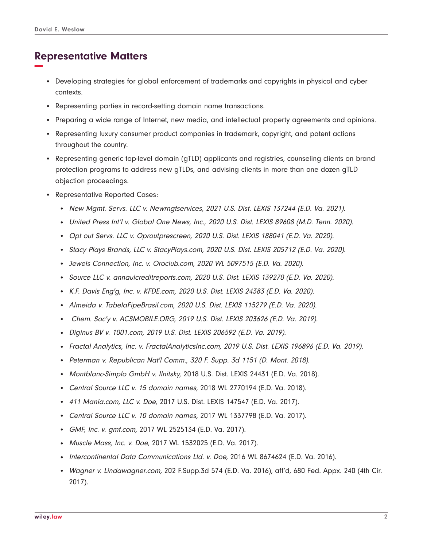## **Representative Matters −**

- Developing strategies for global enforcement of trademarks and copyrights in physical and cyber contexts.
- Representing parties in record-setting domain name transactions.
- Preparing a wide range of Internet, new media, and intellectual property agreements and opinions.
- Representing luxury consumer product companies in trademark, copyright, and patent actions throughout the country.
- Representing generic top-level domain (gTLD) applicants and registries, counseling clients on brand protection programs to address new gTLDs, and advising clients in more than one dozen gTLD objection proceedings.
- Representative Reported Cases:
	- New Mgmt. Servs. LLC v. Newrngtservices, 2021 U.S. Dist. LEXIS 137244 (E.D. Va. 2021).
	- United Press Int'l v. Global One News, Inc., 2020 U.S. Dist. LEXIS 89608 (M.D. Tenn. 2020).
	- Opt out Servs. LLC v. Oproutprescreen, 2020 U.S. Dist. LEXIS 188041 (E.D. Va. 2020).
	- Stacy Plays Brands, LLC v. StacyPlays.com, 2020 U.S. Dist. LEXIS 205712 (E.D. Va. 2020).
	- Jewels Connection, Inc. v. Oroclub.com, 2020 WL 5097515 (E.D. Va. 2020).
	- Source LLC v. annaulcreditreports.com, 2020 U.S. Dist. LEXIS 139270 (E.D. Va. 2020).
	- K.F. Davis Eng'g, Inc. v. KFDE.com, 2020 U.S. Dist. LEXIS 24383 (E.D. Va. 2020).
	- Almeida v. TabelaFipeBrasil.com, 2020 U.S. Dist. LEXIS 115279 (E.D. Va. 2020).
	- Chem. Soc'y v. ACSMOBILE.ORG, 2019 U.S. Dist. LEXIS 203626 (E.D. Va. 2019).
	- Diginus BV v. 1001.com, 2019 U.S. Dist. LEXIS 206592 (E.D. Va. 2019).
	- Fractal Analytics, Inc. v. FractalAnalyticsInc.com, 2019 U.S. Dist. LEXIS 196896 (E.D. Va. 2019).
	- Peterman v. Republican Nat'l Comm., 320 F. Supp. 3d 1151 (D. Mont. 2018).
	- Montblanc-Simplo GmbH v. Ilnitsky, 2018 U.S. Dist. LEXIS 24431 (E.D. Va. 2018).
	- Central Source LLC v. 15 domain names, 2018 WL 2770194 (E.D. Va. 2018).
	- 411 Mania.com, LLC v. Doe, 2017 U.S. Dist. LEXIS 147547 (E.D. Va. 2017).
	- Central Source LLC v. 10 domain names, 2017 WL 1337798 (E.D. Va. 2017).
	- GMF, Inc. v. gmf.com, 2017 WL 2525134 (E.D. Va. 2017).
	- Muscle Mass, Inc. v. Doe, 2017 WL 1532025 (E.D. Va. 2017).
	- Intercontinental Data Communications Ltd. v. Doe, 2016 WL 8674624 (E.D. Va. 2016).
	- Wagner v. Lindawagner.com, 202 F.Supp.3d 574 (E.D. Va. 2016), aff'd, 680 Fed. Appx. 240 (4th Cir. 2017).